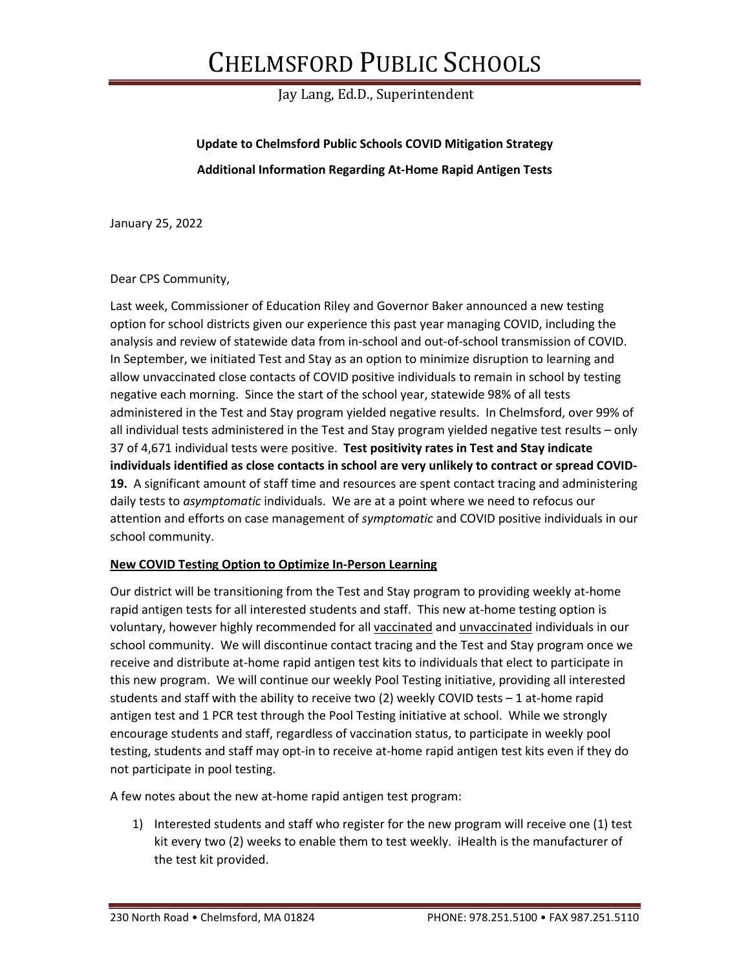## CHELMSFORD PUBLIC SCHOOLS

Jay Lang, Ed.D., Superintendent

**Update to Chelmsford Public Schools COVID Mitigation Strategy Additional Information Regarding At-Home Rapid Antigen Tests**

January 25, 2022

## Dear CPS Community,

Last week, Commissioner of Education Riley and Governor Baker announced a new testing option for school districts given our experience this past year managing COVID, including the analysis and review of statewide data from in-school and out-of-school transmission of COVID. In September, we initiated Test and Stay as an option to minimize disruption to learning and allow unvaccinated close contacts of COVID positive individuals to remain in school by testing negative each morning. Since the start of the school year, statewide 98% of all tests administered in the Test and Stay program yielded negative results. In Chelmsford, over 99% of all individual tests administered in the Test and Stay program yielded negative test results – only 37 of 4,671 individual tests were positive. **Test positivity rates in Test and Stay indicate individuals identified as close contacts in school are very unlikely to contract or spread COVID-19.** A significant amount of staff time and resources are spent contact tracing and administering daily tests to *asymptomatic* individuals. We are at a point where we need to refocus our attention and efforts on case management of *symptomatic* and COVID positive individuals in our school community.

## **New COVID Testing Option to Optimize In-Person Learning**

Our district will be transitioning from the Test and Stay program to providing weekly at-home rapid antigen tests for all interested students and staff. This new at-home testing option is voluntary, however highly recommended for all vaccinated and unvaccinated individuals in our school community. We will discontinue contact tracing and the Test and Stay program once we receive and distribute at-home rapid antigen test kits to individuals that elect to participate in this new program. We will continue our weekly Pool Testing initiative, providing all interested students and staff with the ability to receive two (2) weekly COVID tests – 1 at-home rapid antigen test and 1 PCR test through the Pool Testing initiative at school. While we strongly encourage students and staff, regardless of vaccination status, to participate in weekly pool testing, students and staff may opt-in to receive at-home rapid antigen test kits even if they do not participate in pool testing.

A few notes about the new at-home rapid antigen test program:

1) Interested students and staff who register for the new program will receive one (1) test kit every two (2) weeks to enable them to test weekly. iHealth is the manufacturer of the test kit provided.